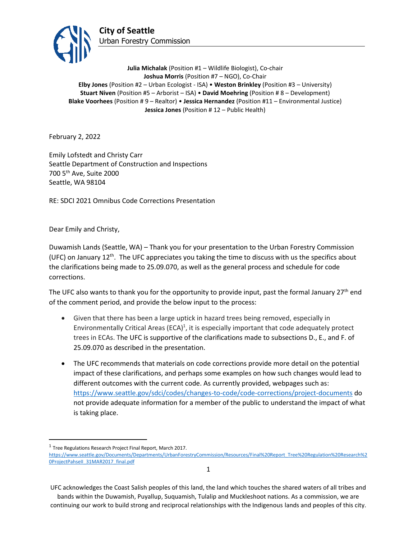

**Julia Michalak** (Position #1 – Wildlife Biologist), Co-chair **Joshua Morris** (Position #7 – NGO), Co-Chair **Elby Jones** (Position #2 – Urban Ecologist - ISA) • **Weston Brinkley** (Position #3 – University) **Stuart Niven** (Position #5 – Arborist – ISA) • **David Moehring** (Position # 8 – Development) **Blake Voorhees** (Position # 9 – Realtor) • **Jessica Hernandez** (Position #11 – Environmental Justice) **Jessica Jones** (Position # 12 – Public Health)

February 2, 2022

Emily Lofstedt and Christy Carr Seattle Department of Construction and Inspections 700 5th Ave, Suite 2000 Seattle, WA 98104

RE: SDCI 2021 Omnibus Code Corrections Presentation

Dear Emily and Christy,

Duwamish Lands (Seattle, WA) – Thank you for your presentation to the Urban Forestry Commission (UFC) on January  $12^{th}$ . The UFC appreciates you taking the time to discuss with us the specifics about the clarifications being made to 25.09.070, as well as the general process and schedule for code corrections.

The UFC also wants to thank you for the opportunity to provide input, past the formal January  $27<sup>th</sup>$  end of the comment period, and provide the below input to the process:

- Given that there has been a large uptick in hazard trees being removed, especially in Environmentally Critical Areas (ECA)<sup>1</sup>, it is especially important that code adequately protect trees in ECAs. The UFC is supportive of the clarifications made to subsections D., E., and F. of 25.09.070 as described in the presentation.
- The UFC recommends that materials on code corrections provide more detail on the potential impact of these clarifications, and perhaps some examples on how such changes would lead to different outcomes with the current code. As currently provided, webpages such as: <https://www.seattle.gov/sdci/codes/changes-to-code/code-corrections/project-documents> do not provide adequate information for a member of the public to understand the impact of what is taking place.

<sup>&</sup>lt;sup>1</sup> Tree Regulations Research Project Final Report, March 2017. [https://www.seattle.gov/Documents/Departments/UrbanForestryCommission/Resources/Final%20Report\\_Tree%20Regulation%20Research%2](https://www.seattle.gov/Documents/Departments/UrbanForestryCommission/Resources/Final%20Report_Tree%20Regulation%20Research%20ProjectPahseII_31MAR2017_final.pdf) [0ProjectPahseII\\_31MAR2017\\_final.pdf](https://www.seattle.gov/Documents/Departments/UrbanForestryCommission/Resources/Final%20Report_Tree%20Regulation%20Research%20ProjectPahseII_31MAR2017_final.pdf)

UFC acknowledges the Coast Salish peoples of this land, the land which touches the shared waters of all tribes and bands within the Duwamish, Puyallup, Suquamish, Tulalip and Muckleshoot nations. As a commission, we are continuing our work to build strong and reciprocal relationships with the Indigenous lands and peoples of this city.